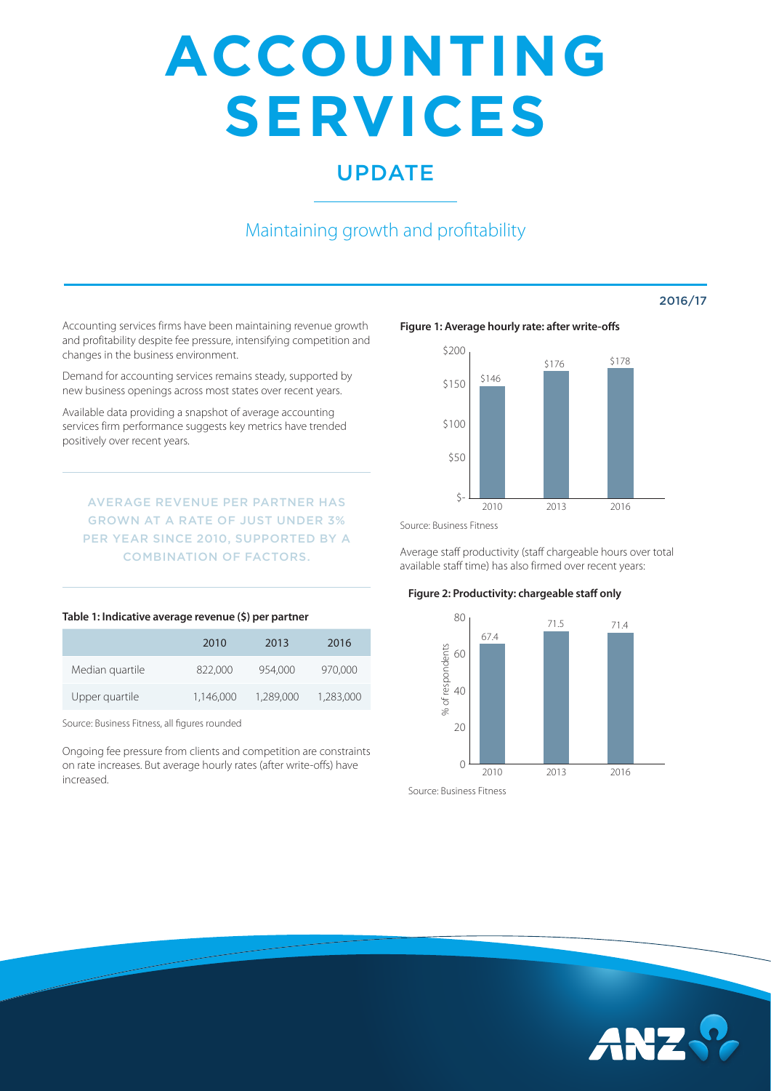# **ACCOUNTING SERVICES**

## UPDATE

## Maintaining growth and profitability

Accounting services firms have been maintaining revenue growth and profitability despite fee pressure, intensifying competition and changes in the business environment.

Demand for accounting services remains steady, supported by new business openings across most states over recent years.

Available data providing a snapshot of average accounting services firm performance suggests key metrics have trended positively over recent years.

AVERAGE REVENUE PER PARTNER HAS GROWN AT A RATE OF JUST UNDER 3% PER YEAR SINCE 2010, SUPPORTED BY A COMBINATION OF FACTORS.

#### **Table 1: Indicative average revenue (\$) per partner**

|                 | 2010      | 2013      | 2016      |
|-----------------|-----------|-----------|-----------|
| Median quartile | 822,000   | 954.000   | 970,000   |
| Upper quartile  | 1,146,000 | 1,289,000 | 1,283,000 |

Source: Business Fitness, all figures rounded

Ongoing fee pressure from clients and competition are constraints on rate increases. But average hourly rates (after write-offs) have increased.

#### **Figure 1: Average hourly rate: after write-offs**



2016/17

Source: Business Fitness

Average staff productivity (staff chargeable hours over total available staff time) has also firmed over recent years:

#### **Figure 2: Productivity: chargeable staff only**